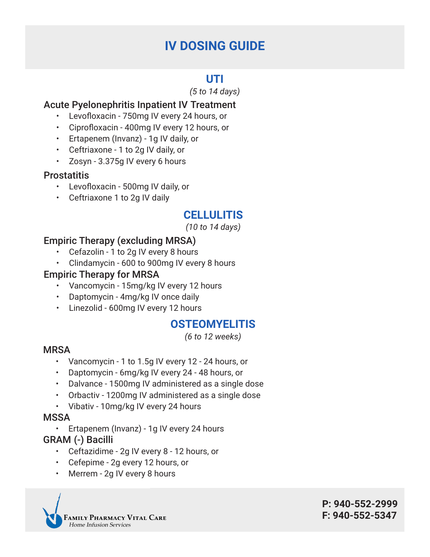# **IV DOSING GUIDE**

## **UTI**

*(5 to 14 days)*

## Acute Pyelonephritis Inpatient IV Treatment

- Levofloxacin 750mg IV every 24 hours, or
- Ciprofloxacin 400mg IV every 12 hours, or
- Ertapenem (Invanz) 1g IV daily, or
- Ceftriaxone 1 to 2g IV daily, or
- Zosyn 3.375g IV every 6 hours

### **Prostatitis**

- Levofloxacin 500mg IV daily, or
- Ceftriaxone 1 to 2g IV daily

# **CELLULITIS**

*(10 to 14 days)*

## Empiric Therapy (excluding MRSA)

- Cefazolin 1 to 2g IV every 8 hours
- Clindamycin 600 to 900mg IV every 8 hours

### Empiric Therapy for MRSA

- Vancomycin 15mg/kg IV every 12 hours
- Daptomycin 4mg/kg IV once daily
- Linezolid 600mg IV every 12 hours

### **OSTEOMYELITIS**

*(6 to 12 weeks)*

### **MRSA**

- Vancomycin 1 to 1.5g IV every 12 24 hours, or
- Daptomycin 6mg/kg IV every 24 48 hours, or
- Dalvance 1500mg IV administered as a single dose
- Orbactiv 1200mg IV administered as a single dose
- Vibativ 10mg/kg IV every 24 hours

### **MSSA**

• Ertapenem (Invanz) - 1g IV every 24 hours

### GRAM (-) Bacilli

- Ceftazidime 2g IV every 8 12 hours, or
- Cefepime 2g every 12 hours, or
- Merrem 2g IV every 8 hours